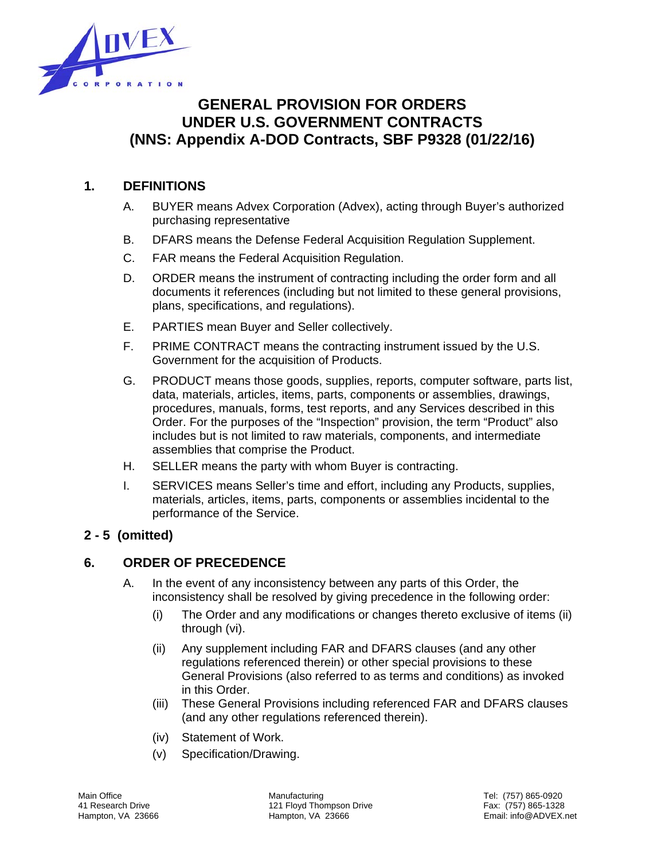

# **GENERAL PROVISION FOR ORDERS UNDER U.S. GOVERNMENT CONTRACTS (NNS: Appendix A-DOD Contracts, SBF P9328 (01/22/16)**

# **1. DEFINITIONS**

- A. BUYER means Advex Corporation (Advex), acting through Buyer's authorized purchasing representative
- B. DFARS means the Defense Federal Acquisition Regulation Supplement.
- C. FAR means the Federal Acquisition Regulation.
- D. ORDER means the instrument of contracting including the order form and all documents it references (including but not limited to these general provisions, plans, specifications, and regulations).
- E. PARTIES mean Buyer and Seller collectively.
- F. PRIME CONTRACT means the contracting instrument issued by the U.S. Government for the acquisition of Products.
- G. PRODUCT means those goods, supplies, reports, computer software, parts list, data, materials, articles, items, parts, components or assemblies, drawings, procedures, manuals, forms, test reports, and any Services described in this Order. For the purposes of the "Inspection" provision, the term "Product" also includes but is not limited to raw materials, components, and intermediate assemblies that comprise the Product.
- H. SELLER means the party with whom Buyer is contracting.
- I. SERVICES means Seller's time and effort, including any Products, supplies, materials, articles, items, parts, components or assemblies incidental to the performance of the Service.

# **2 - 5 (omitted)**

# **6. ORDER OF PRECEDENCE**

- A. In the event of any inconsistency between any parts of this Order, the inconsistency shall be resolved by giving precedence in the following order:
	- (i) The Order and any modifications or changes thereto exclusive of items (ii) through (vi).
	- (ii) Any supplement including FAR and DFARS clauses (and any other regulations referenced therein) or other special provisions to these General Provisions (also referred to as terms and conditions) as invoked in this Order.
	- (iii) These General Provisions including referenced FAR and DFARS clauses (and any other regulations referenced therein).
	- (iv) Statement of Work.
	- (v) Specification/Drawing.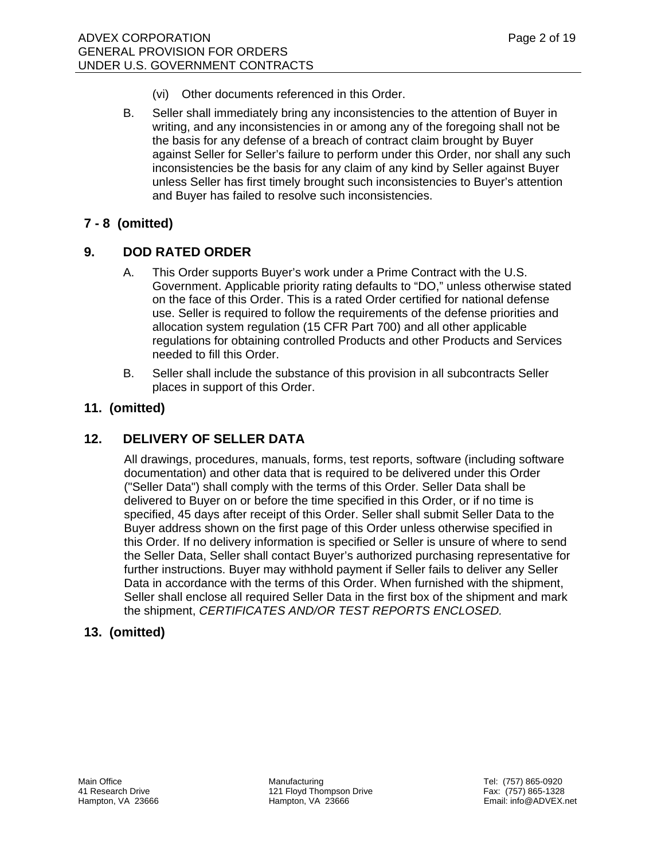- (vi) Other documents referenced in this Order.
- B. Seller shall immediately bring any inconsistencies to the attention of Buyer in writing, and any inconsistencies in or among any of the foregoing shall not be the basis for any defense of a breach of contract claim brought by Buyer against Seller for Seller's failure to perform under this Order, nor shall any such inconsistencies be the basis for any claim of any kind by Seller against Buyer unless Seller has first timely brought such inconsistencies to Buyer's attention and Buyer has failed to resolve such inconsistencies.

# **7 - 8 (omitted)**

# **9. DOD RATED ORDER**

- A. This Order supports Buyer's work under a Prime Contract with the U.S. Government. Applicable priority rating defaults to "DO," unless otherwise stated on the face of this Order. This is a rated Order certified for national defense use. Seller is required to follow the requirements of the defense priorities and allocation system regulation (15 CFR Part 700) and all other applicable regulations for obtaining controlled Products and other Products and Services needed to fill this Order.
- B. Seller shall include the substance of this provision in all subcontracts Seller places in support of this Order.

### **11. (omitted)**

### **12. DELIVERY OF SELLER DATA**

 All drawings, procedures, manuals, forms, test reports, software (including software documentation) and other data that is required to be delivered under this Order ("Seller Data") shall comply with the terms of this Order. Seller Data shall be delivered to Buyer on or before the time specified in this Order, or if no time is specified, 45 days after receipt of this Order. Seller shall submit Seller Data to the Buyer address shown on the first page of this Order unless otherwise specified in this Order. If no delivery information is specified or Seller is unsure of where to send the Seller Data, Seller shall contact Buyer's authorized purchasing representative for further instructions. Buyer may withhold payment if Seller fails to deliver any Seller Data in accordance with the terms of this Order. When furnished with the shipment, Seller shall enclose all required Seller Data in the first box of the shipment and mark the shipment, *CERTIFICATES AND/OR TEST REPORTS ENCLOSED.*

### **13. (omitted)**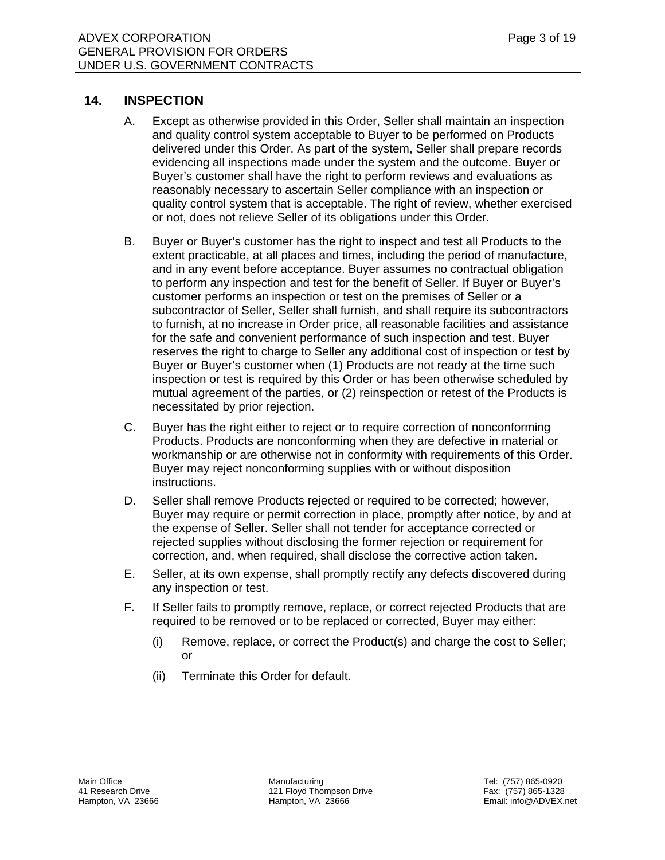#### **14. INSPECTION**

- A. Except as otherwise provided in this Order, Seller shall maintain an inspection and quality control system acceptable to Buyer to be performed on Products delivered under this Order. As part of the system, Seller shall prepare records evidencing all inspections made under the system and the outcome. Buyer or Buyer's customer shall have the right to perform reviews and evaluations as reasonably necessary to ascertain Seller compliance with an inspection or quality control system that is acceptable. The right of review, whether exercised or not, does not relieve Seller of its obligations under this Order.
- B. Buyer or Buyer's customer has the right to inspect and test all Products to the extent practicable, at all places and times, including the period of manufacture, and in any event before acceptance. Buyer assumes no contractual obligation to perform any inspection and test for the benefit of Seller. If Buyer or Buyer's customer performs an inspection or test on the premises of Seller or a subcontractor of Seller, Seller shall furnish, and shall require its subcontractors to furnish, at no increase in Order price, all reasonable facilities and assistance for the safe and convenient performance of such inspection and test. Buyer reserves the right to charge to Seller any additional cost of inspection or test by Buyer or Buyer's customer when (1) Products are not ready at the time such inspection or test is required by this Order or has been otherwise scheduled by mutual agreement of the parties, or (2) reinspection or retest of the Products is necessitated by prior rejection.
- C. Buyer has the right either to reject or to require correction of nonconforming Products. Products are nonconforming when they are defective in material or workmanship or are otherwise not in conformity with requirements of this Order. Buyer may reject nonconforming supplies with or without disposition instructions.
- D. Seller shall remove Products rejected or required to be corrected; however, Buyer may require or permit correction in place, promptly after notice, by and at the expense of Seller. Seller shall not tender for acceptance corrected or rejected supplies without disclosing the former rejection or requirement for correction, and, when required, shall disclose the corrective action taken.
- E. Seller, at its own expense, shall promptly rectify any defects discovered during any inspection or test.
- F. If Seller fails to promptly remove, replace, or correct rejected Products that are required to be removed or to be replaced or corrected, Buyer may either:
	- (i) Remove, replace, or correct the Product(s) and charge the cost to Seller; or
	- (ii) Terminate this Order for default.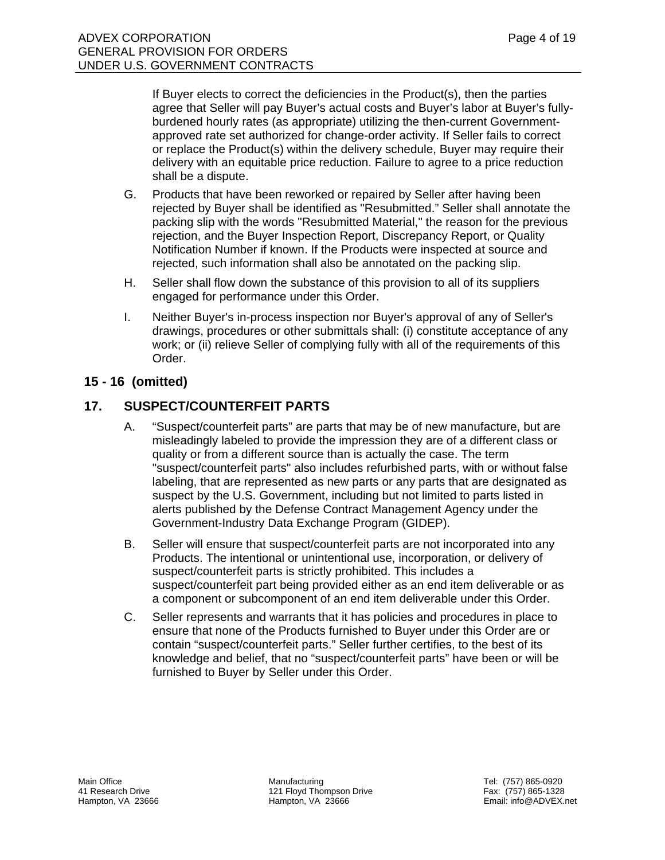If Buyer elects to correct the deficiencies in the Product(s), then the parties agree that Seller will pay Buyer's actual costs and Buyer's labor at Buyer's fullyburdened hourly rates (as appropriate) utilizing the then-current Governmentapproved rate set authorized for change-order activity. If Seller fails to correct or replace the Product(s) within the delivery schedule, Buyer may require their delivery with an equitable price reduction. Failure to agree to a price reduction shall be a dispute.

- G. Products that have been reworked or repaired by Seller after having been rejected by Buyer shall be identified as "Resubmitted." Seller shall annotate the packing slip with the words "Resubmitted Material," the reason for the previous rejection, and the Buyer Inspection Report, Discrepancy Report, or Quality Notification Number if known. If the Products were inspected at source and rejected, such information shall also be annotated on the packing slip.
- H. Seller shall flow down the substance of this provision to all of its suppliers engaged for performance under this Order.
- I. Neither Buyer's in-process inspection nor Buyer's approval of any of Seller's drawings, procedures or other submittals shall: (i) constitute acceptance of any work; or (ii) relieve Seller of complying fully with all of the requirements of this Order.

# **15 - 16 (omitted)**

# **17. SUSPECT/COUNTERFEIT PARTS**

- A. "Suspect/counterfeit parts" are parts that may be of new manufacture, but are misleadingly labeled to provide the impression they are of a different class or quality or from a different source than is actually the case. The term "suspect/counterfeit parts" also includes refurbished parts, with or without false labeling, that are represented as new parts or any parts that are designated as suspect by the U.S. Government, including but not limited to parts listed in alerts published by the Defense Contract Management Agency under the Government-Industry Data Exchange Program (GIDEP).
- B. Seller will ensure that suspect/counterfeit parts are not incorporated into any Products. The intentional or unintentional use, incorporation, or delivery of suspect/counterfeit parts is strictly prohibited. This includes a suspect/counterfeit part being provided either as an end item deliverable or as a component or subcomponent of an end item deliverable under this Order.
- C. Seller represents and warrants that it has policies and procedures in place to ensure that none of the Products furnished to Buyer under this Order are or contain "suspect/counterfeit parts." Seller further certifies, to the best of its knowledge and belief, that no "suspect/counterfeit parts" have been or will be furnished to Buyer by Seller under this Order.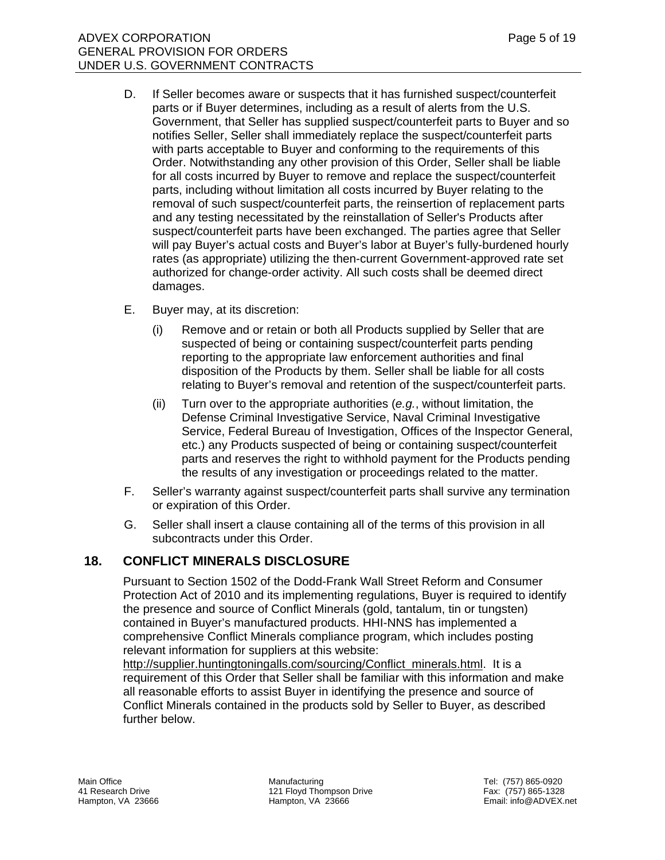- D. If Seller becomes aware or suspects that it has furnished suspect/counterfeit parts or if Buyer determines, including as a result of alerts from the U.S. Government, that Seller has supplied suspect/counterfeit parts to Buyer and so notifies Seller, Seller shall immediately replace the suspect/counterfeit parts with parts acceptable to Buyer and conforming to the requirements of this Order. Notwithstanding any other provision of this Order, Seller shall be liable for all costs incurred by Buyer to remove and replace the suspect/counterfeit parts, including without limitation all costs incurred by Buyer relating to the removal of such suspect/counterfeit parts, the reinsertion of replacement parts and any testing necessitated by the reinstallation of Seller's Products after suspect/counterfeit parts have been exchanged. The parties agree that Seller will pay Buyer's actual costs and Buyer's labor at Buyer's fully-burdened hourly rates (as appropriate) utilizing the then-current Government-approved rate set authorized for change-order activity. All such costs shall be deemed direct damages.
- E. Buyer may, at its discretion:
	- (i) Remove and or retain or both all Products supplied by Seller that are suspected of being or containing suspect/counterfeit parts pending reporting to the appropriate law enforcement authorities and final disposition of the Products by them. Seller shall be liable for all costs relating to Buyer's removal and retention of the suspect/counterfeit parts.
	- (ii) Turn over to the appropriate authorities (*e.g.*, without limitation, the Defense Criminal Investigative Service, Naval Criminal Investigative Service, Federal Bureau of Investigation, Offices of the Inspector General, etc.) any Products suspected of being or containing suspect/counterfeit parts and reserves the right to withhold payment for the Products pending the results of any investigation or proceedings related to the matter.
- F. Seller's warranty against suspect/counterfeit parts shall survive any termination or expiration of this Order.
- G. Seller shall insert a clause containing all of the terms of this provision in all subcontracts under this Order.

# **18. CONFLICT MINERALS DISCLOSURE**

 Pursuant to Section 1502 of the Dodd-Frank Wall Street Reform and Consumer Protection Act of 2010 and its implementing regulations, Buyer is required to identify the presence and source of Conflict Minerals (gold, tantalum, tin or tungsten) contained in Buyer's manufactured products. HHI-NNS has implemented a comprehensive Conflict Minerals compliance program, which includes posting relevant information for suppliers at this website:

http://supplier.huntingtoningalls.com/sourcing/Conflict\_minerals.html. It is a requirement of this Order that Seller shall be familiar with this information and make all reasonable efforts to assist Buyer in identifying the presence and source of Conflict Minerals contained in the products sold by Seller to Buyer, as described further below.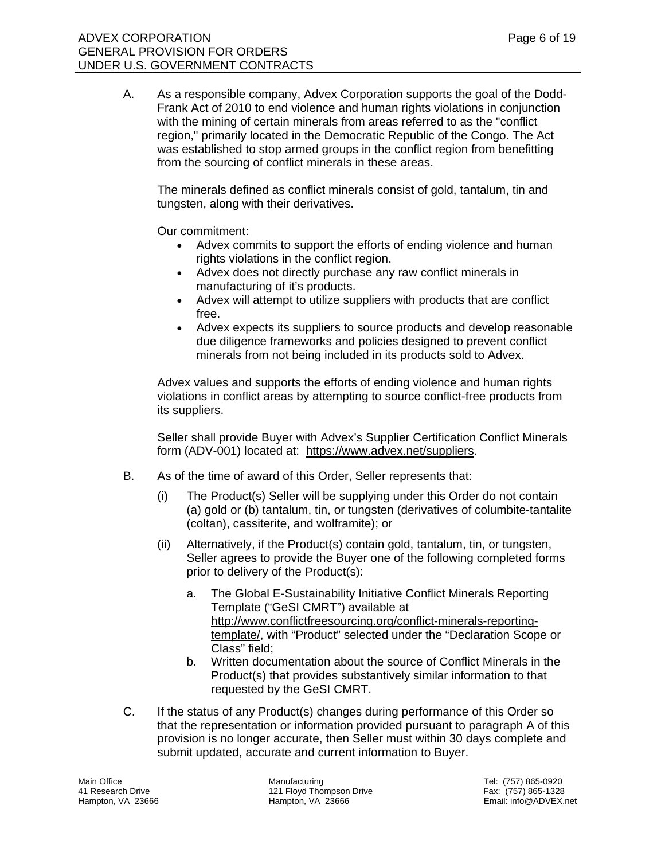A. As a responsible company, Advex Corporation supports the goal of the Dodd-Frank Act of 2010 to end violence and human rights violations in conjunction with the mining of certain minerals from areas referred to as the "conflict region," primarily located in the Democratic Republic of the Congo. The Act was established to stop armed groups in the conflict region from benefitting from the sourcing of conflict minerals in these areas.

The minerals defined as conflict minerals consist of gold, tantalum, tin and tungsten, along with their derivatives.

Our commitment:

- Advex commits to support the efforts of ending violence and human rights violations in the conflict region.
- Advex does not directly purchase any raw conflict minerals in manufacturing of it's products.
- Advex will attempt to utilize suppliers with products that are conflict free.
- Advex expects its suppliers to source products and develop reasonable due diligence frameworks and policies designed to prevent conflict minerals from not being included in its products sold to Advex.

Advex values and supports the efforts of ending violence and human rights violations in conflict areas by attempting to source conflict-free products from its suppliers.

Seller shall provide Buyer with Advex's Supplier Certification Conflict Minerals form (ADV-001) located at: https://www.advex.net/suppliers.

- B. As of the time of award of this Order, Seller represents that:
	- (i) The Product(s) Seller will be supplying under this Order do not contain (a) gold or (b) tantalum, tin, or tungsten (derivatives of columbite-tantalite (coltan), cassiterite, and wolframite); or
	- (ii) Alternatively, if the Product(s) contain gold, tantalum, tin, or tungsten, Seller agrees to provide the Buyer one of the following completed forms prior to delivery of the Product(s):
		- a. The Global E-Sustainability Initiative Conflict Minerals Reporting Template ("GeSI CMRT") available at http://www.conflictfreesourcing.org/conflict-minerals-reportingtemplate/, with "Product" selected under the "Declaration Scope or Class" field;
		- b. Written documentation about the source of Conflict Minerals in the Product(s) that provides substantively similar information to that requested by the GeSI CMRT.
- C. If the status of any Product(s) changes during performance of this Order so that the representation or information provided pursuant to paragraph A of this provision is no longer accurate, then Seller must within 30 days complete and submit updated, accurate and current information to Buyer.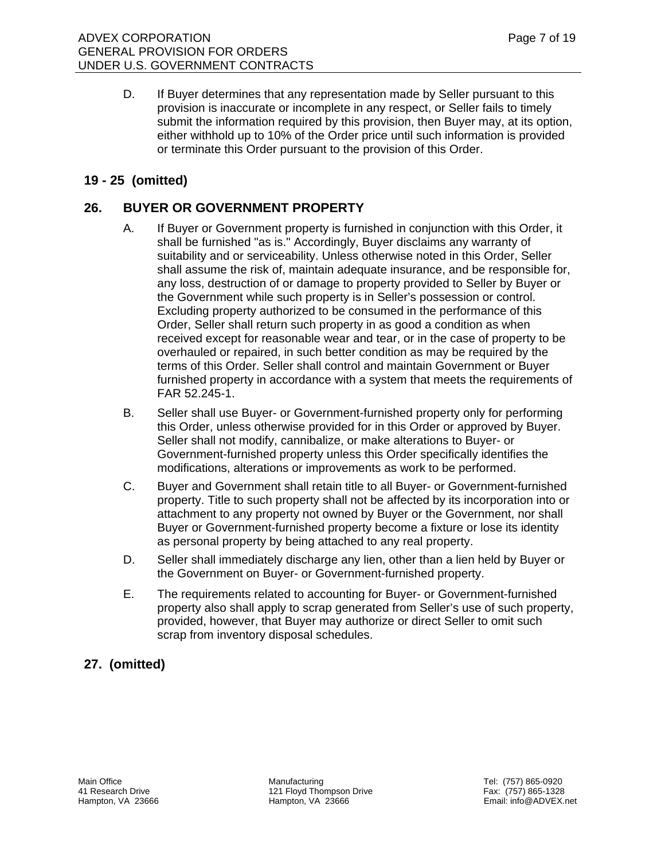D. If Buyer determines that any representation made by Seller pursuant to this provision is inaccurate or incomplete in any respect, or Seller fails to timely submit the information required by this provision, then Buyer may, at its option, either withhold up to 10% of the Order price until such information is provided or terminate this Order pursuant to the provision of this Order.

# **19 - 25 (omitted)**

# **26. BUYER OR GOVERNMENT PROPERTY**

- A. If Buyer or Government property is furnished in conjunction with this Order, it shall be furnished "as is." Accordingly, Buyer disclaims any warranty of suitability and or serviceability. Unless otherwise noted in this Order, Seller shall assume the risk of, maintain adequate insurance, and be responsible for, any loss, destruction of or damage to property provided to Seller by Buyer or the Government while such property is in Seller's possession or control. Excluding property authorized to be consumed in the performance of this Order, Seller shall return such property in as good a condition as when received except for reasonable wear and tear, or in the case of property to be overhauled or repaired, in such better condition as may be required by the terms of this Order. Seller shall control and maintain Government or Buyer furnished property in accordance with a system that meets the requirements of FAR 52.245-1.
- B. Seller shall use Buyer- or Government-furnished property only for performing this Order, unless otherwise provided for in this Order or approved by Buyer. Seller shall not modify, cannibalize, or make alterations to Buyer- or Government-furnished property unless this Order specifically identifies the modifications, alterations or improvements as work to be performed.
- C. Buyer and Government shall retain title to all Buyer- or Government-furnished property. Title to such property shall not be affected by its incorporation into or attachment to any property not owned by Buyer or the Government, nor shall Buyer or Government-furnished property become a fixture or lose its identity as personal property by being attached to any real property.
- D. Seller shall immediately discharge any lien, other than a lien held by Buyer or the Government on Buyer- or Government-furnished property.
- E. The requirements related to accounting for Buyer- or Government-furnished property also shall apply to scrap generated from Seller's use of such property, provided, however, that Buyer may authorize or direct Seller to omit such scrap from inventory disposal schedules.

# **27. (omitted)**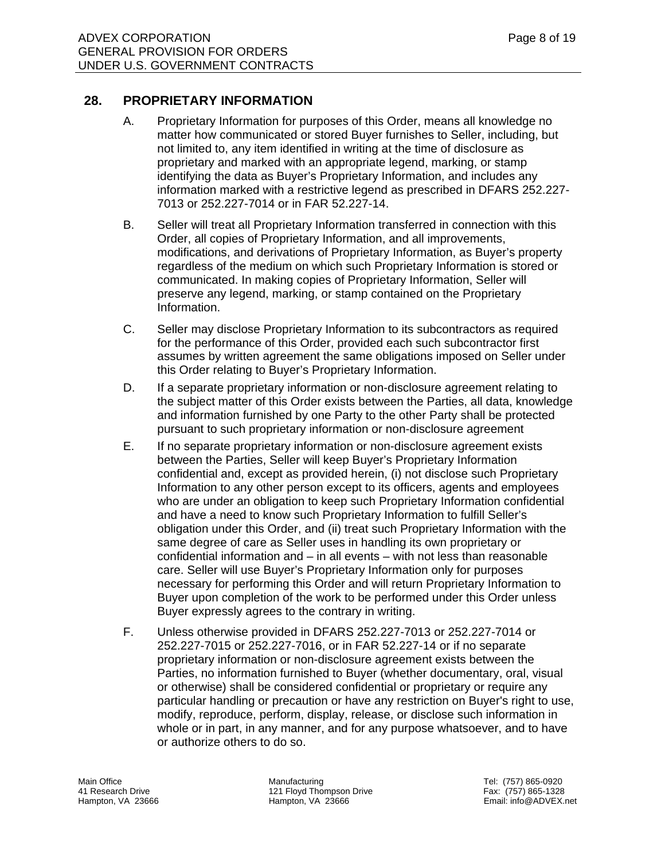#### **28. PROPRIETARY INFORMATION**

- A. Proprietary Information for purposes of this Order, means all knowledge no matter how communicated or stored Buyer furnishes to Seller, including, but not limited to, any item identified in writing at the time of disclosure as proprietary and marked with an appropriate legend, marking, or stamp identifying the data as Buyer's Proprietary Information, and includes any information marked with a restrictive legend as prescribed in DFARS 252.227- 7013 or 252.227-7014 or in FAR 52.227-14.
- B. Seller will treat all Proprietary Information transferred in connection with this Order, all copies of Proprietary Information, and all improvements, modifications, and derivations of Proprietary Information, as Buyer's property regardless of the medium on which such Proprietary Information is stored or communicated. In making copies of Proprietary Information, Seller will preserve any legend, marking, or stamp contained on the Proprietary Information.
- C. Seller may disclose Proprietary Information to its subcontractors as required for the performance of this Order, provided each such subcontractor first assumes by written agreement the same obligations imposed on Seller under this Order relating to Buyer's Proprietary Information.
- D. If a separate proprietary information or non-disclosure agreement relating to the subject matter of this Order exists between the Parties, all data, knowledge and information furnished by one Party to the other Party shall be protected pursuant to such proprietary information or non-disclosure agreement
- E. If no separate proprietary information or non-disclosure agreement exists between the Parties, Seller will keep Buyer's Proprietary Information confidential and, except as provided herein, (i) not disclose such Proprietary Information to any other person except to its officers, agents and employees who are under an obligation to keep such Proprietary Information confidential and have a need to know such Proprietary Information to fulfill Seller's obligation under this Order, and (ii) treat such Proprietary Information with the same degree of care as Seller uses in handling its own proprietary or confidential information and – in all events – with not less than reasonable care. Seller will use Buyer's Proprietary Information only for purposes necessary for performing this Order and will return Proprietary Information to Buyer upon completion of the work to be performed under this Order unless Buyer expressly agrees to the contrary in writing.
- F. Unless otherwise provided in DFARS 252.227-7013 or 252.227-7014 or 252.227-7015 or 252.227-7016, or in FAR 52.227-14 or if no separate proprietary information or non-disclosure agreement exists between the Parties, no information furnished to Buyer (whether documentary, oral, visual or otherwise) shall be considered confidential or proprietary or require any particular handling or precaution or have any restriction on Buyer's right to use, modify, reproduce, perform, display, release, or disclose such information in whole or in part, in any manner, and for any purpose whatsoever, and to have or authorize others to do so.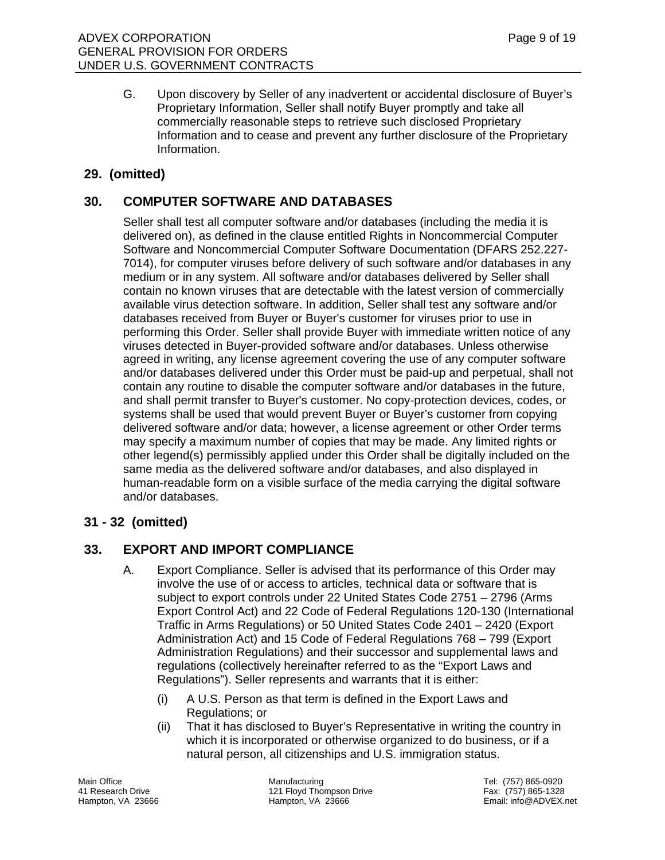G. Upon discovery by Seller of any inadvertent or accidental disclosure of Buyer's Proprietary Information, Seller shall notify Buyer promptly and take all commercially reasonable steps to retrieve such disclosed Proprietary Information and to cease and prevent any further disclosure of the Proprietary Information.

#### **29. (omitted)**

# **30. COMPUTER SOFTWARE AND DATABASES**

 Seller shall test all computer software and/or databases (including the media it is delivered on), as defined in the clause entitled Rights in Noncommercial Computer Software and Noncommercial Computer Software Documentation (DFARS 252.227- 7014), for computer viruses before delivery of such software and/or databases in any medium or in any system. All software and/or databases delivered by Seller shall contain no known viruses that are detectable with the latest version of commercially available virus detection software. In addition, Seller shall test any software and/or databases received from Buyer or Buyer's customer for viruses prior to use in performing this Order. Seller shall provide Buyer with immediate written notice of any viruses detected in Buyer-provided software and/or databases. Unless otherwise agreed in writing, any license agreement covering the use of any computer software and/or databases delivered under this Order must be paid-up and perpetual, shall not contain any routine to disable the computer software and/or databases in the future, and shall permit transfer to Buyer's customer. No copy-protection devices, codes, or systems shall be used that would prevent Buyer or Buyer's customer from copying delivered software and/or data; however, a license agreement or other Order terms may specify a maximum number of copies that may be made. Any limited rights or other legend(s) permissibly applied under this Order shall be digitally included on the same media as the delivered software and/or databases, and also displayed in human-readable form on a visible surface of the media carrying the digital software and/or databases.

### **31 - 32 (omitted)**

### **33. EXPORT AND IMPORT COMPLIANCE**

- A. Export Compliance. Seller is advised that its performance of this Order may involve the use of or access to articles, technical data or software that is subject to export controls under 22 United States Code 2751 – 2796 (Arms Export Control Act) and 22 Code of Federal Regulations 120-130 (International Traffic in Arms Regulations) or 50 United States Code 2401 – 2420 (Export Administration Act) and 15 Code of Federal Regulations 768 – 799 (Export Administration Regulations) and their successor and supplemental laws and regulations (collectively hereinafter referred to as the "Export Laws and Regulations"). Seller represents and warrants that it is either:
	- (i) A U.S. Person as that term is defined in the Export Laws and Regulations; or
	- (ii) That it has disclosed to Buyer's Representative in writing the country in which it is incorporated or otherwise organized to do business, or if a natural person, all citizenships and U.S. immigration status.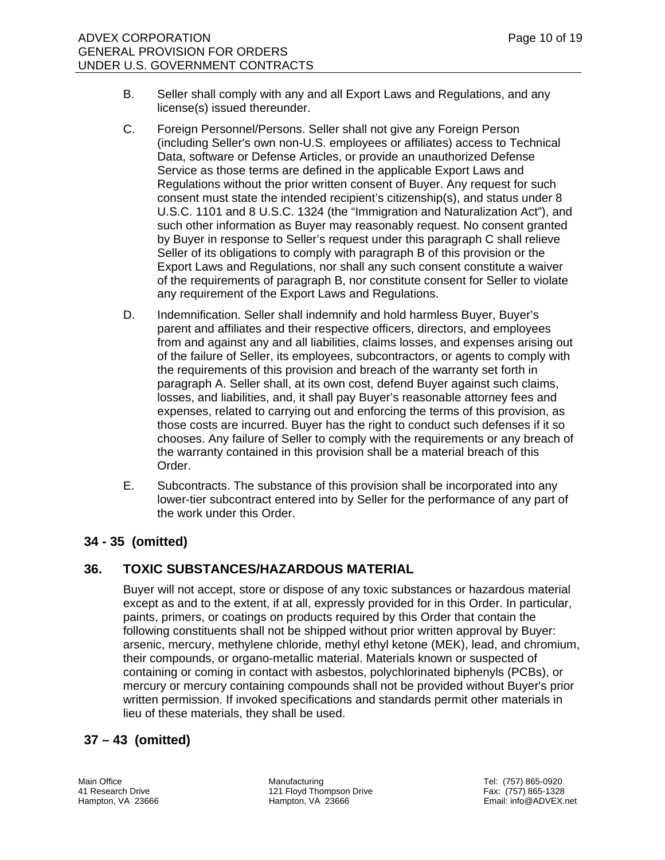- B. Seller shall comply with any and all Export Laws and Regulations, and any license(s) issued thereunder.
- C. Foreign Personnel/Persons. Seller shall not give any Foreign Person (including Seller's own non-U.S. employees or affiliates) access to Technical Data, software or Defense Articles, or provide an unauthorized Defense Service as those terms are defined in the applicable Export Laws and Regulations without the prior written consent of Buyer. Any request for such consent must state the intended recipient's citizenship(s), and status under 8 U.S.C. 1101 and 8 U.S.C. 1324 (the "Immigration and Naturalization Act"), and such other information as Buyer may reasonably request. No consent granted by Buyer in response to Seller's request under this paragraph C shall relieve Seller of its obligations to comply with paragraph B of this provision or the Export Laws and Regulations, nor shall any such consent constitute a waiver of the requirements of paragraph B, nor constitute consent for Seller to violate any requirement of the Export Laws and Regulations.
- D. Indemnification. Seller shall indemnify and hold harmless Buyer, Buyer's parent and affiliates and their respective officers, directors, and employees from and against any and all liabilities, claims losses, and expenses arising out of the failure of Seller, its employees, subcontractors, or agents to comply with the requirements of this provision and breach of the warranty set forth in paragraph A. Seller shall, at its own cost, defend Buyer against such claims, losses, and liabilities, and, it shall pay Buyer's reasonable attorney fees and expenses, related to carrying out and enforcing the terms of this provision, as those costs are incurred. Buyer has the right to conduct such defenses if it so chooses. Any failure of Seller to comply with the requirements or any breach of the warranty contained in this provision shall be a material breach of this Order.
- E. Subcontracts. The substance of this provision shall be incorporated into any lower-tier subcontract entered into by Seller for the performance of any part of the work under this Order.

# **34 - 35 (omitted)**

### **36. TOXIC SUBSTANCES/HAZARDOUS MATERIAL**

 Buyer will not accept, store or dispose of any toxic substances or hazardous material except as and to the extent, if at all, expressly provided for in this Order. In particular, paints, primers, or coatings on products required by this Order that contain the following constituents shall not be shipped without prior written approval by Buyer: arsenic, mercury, methylene chloride, methyl ethyl ketone (MEK), lead, and chromium, their compounds, or organo-metallic material. Materials known or suspected of containing or coming in contact with asbestos, polychlorinated biphenyls (PCBs), or mercury or mercury containing compounds shall not be provided without Buyer's prior written permission. If invoked specifications and standards permit other materials in lieu of these materials, they shall be used.

# **37 – 43 (omitted)**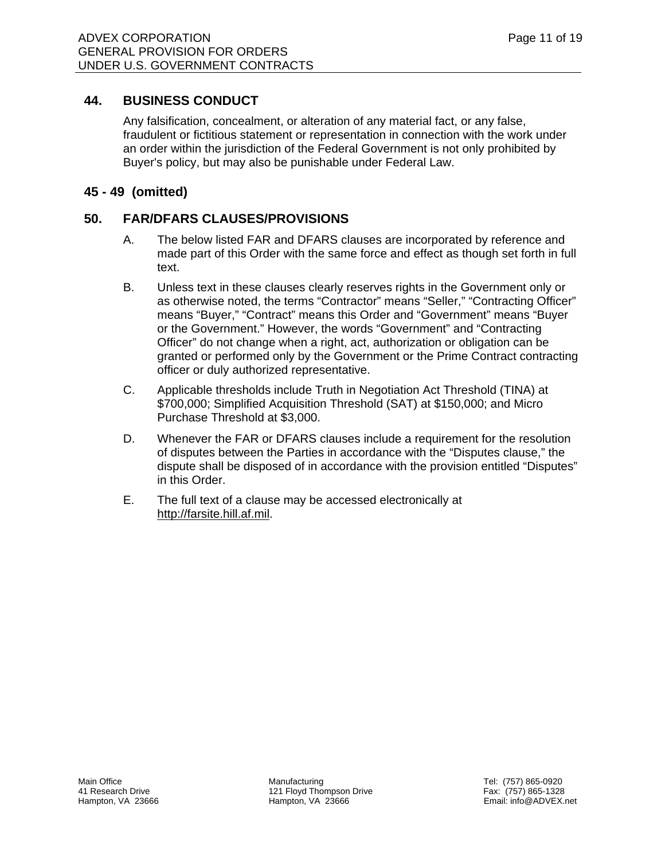# **44. BUSINESS CONDUCT**

 Any falsification, concealment, or alteration of any material fact, or any false, fraudulent or fictitious statement or representation in connection with the work under an order within the jurisdiction of the Federal Government is not only prohibited by Buyer's policy, but may also be punishable under Federal Law.

# **45 - 49 (omitted)**

# **50. FAR/DFARS CLAUSES/PROVISIONS**

- A. The below listed FAR and DFARS clauses are incorporated by reference and made part of this Order with the same force and effect as though set forth in full text.
- B. Unless text in these clauses clearly reserves rights in the Government only or as otherwise noted, the terms "Contractor" means "Seller," "Contracting Officer" means "Buyer," "Contract" means this Order and "Government" means "Buyer or the Government." However, the words "Government" and "Contracting Officer" do not change when a right, act, authorization or obligation can be granted or performed only by the Government or the Prime Contract contracting officer or duly authorized representative.
- C. Applicable thresholds include Truth in Negotiation Act Threshold (TINA) at \$700,000; Simplified Acquisition Threshold (SAT) at \$150,000; and Micro Purchase Threshold at \$3,000.
- D. Whenever the FAR or DFARS clauses include a requirement for the resolution of disputes between the Parties in accordance with the "Disputes clause," the dispute shall be disposed of in accordance with the provision entitled "Disputes" in this Order.
- E. The full text of a clause may be accessed electronically at http://farsite.hill.af.mil.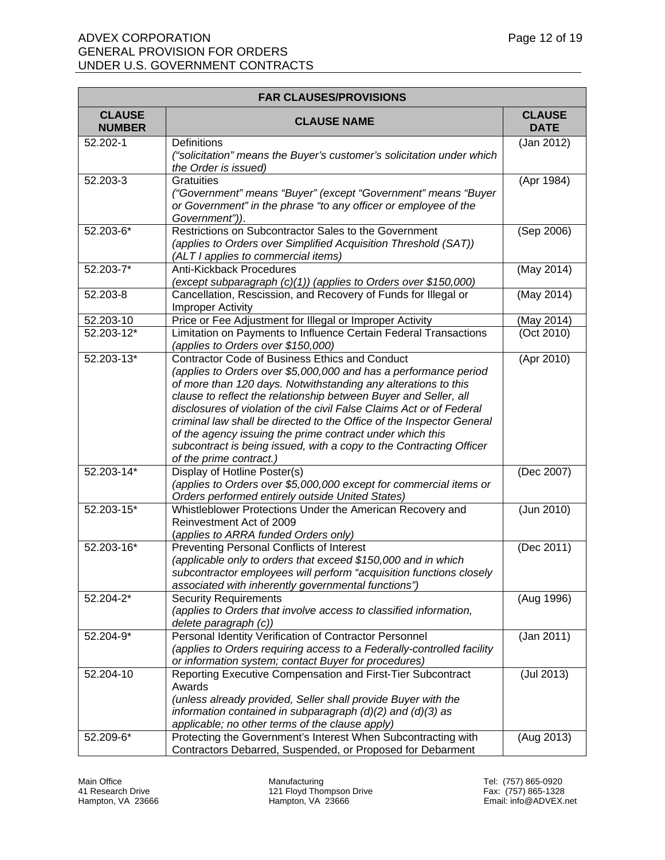| <b>FAR CLAUSES/PROVISIONS</b>  |                                                                                                                     |                              |
|--------------------------------|---------------------------------------------------------------------------------------------------------------------|------------------------------|
| <b>CLAUSE</b><br><b>NUMBER</b> | <b>CLAUSE NAME</b>                                                                                                  | <b>CLAUSE</b><br><b>DATE</b> |
| 52.202-1                       | <b>Definitions</b>                                                                                                  | (Jan 2012)                   |
|                                | ("solicitation" means the Buyer's customer's solicitation under which                                               |                              |
|                                | the Order is issued)                                                                                                |                              |
| 52.203-3                       | <b>Gratuities</b>                                                                                                   | (Apr 1984)                   |
|                                | ("Government" means "Buyer" (except "Government" means "Buyer                                                       |                              |
|                                | or Government" in the phrase "to any officer or employee of the                                                     |                              |
| $52.203 - 6*$                  | Government")).<br>Restrictions on Subcontractor Sales to the Government                                             | (Sep 2006)                   |
|                                | (applies to Orders over Simplified Acquisition Threshold (SAT))                                                     |                              |
|                                | (ALT I applies to commercial items)                                                                                 |                              |
| 52.203-7*                      | Anti-Kickback Procedures                                                                                            | (May 2014)                   |
|                                | (except subparagraph (c)(1)) (applies to Orders over \$150,000)                                                     |                              |
| 52.203-8                       | Cancellation, Rescission, and Recovery of Funds for Illegal or                                                      | (May 2014)                   |
|                                | <b>Improper Activity</b>                                                                                            |                              |
| 52.203-10                      | Price or Fee Adjustment for Illegal or Improper Activity                                                            | (May 2014)                   |
| 52.203-12*                     | Limitation on Payments to Influence Certain Federal Transactions                                                    | (Oct 2010)                   |
|                                | (applies to Orders over \$150,000)                                                                                  |                              |
| 52.203-13*                     | <b>Contractor Code of Business Ethics and Conduct</b>                                                               | (Apr 2010)                   |
|                                | (applies to Orders over \$5,000,000 and has a performance period                                                    |                              |
|                                | of more than 120 days. Notwithstanding any alterations to this                                                      |                              |
|                                | clause to reflect the relationship between Buyer and Seller, all                                                    |                              |
|                                | disclosures of violation of the civil False Claims Act or of Federal                                                |                              |
|                                | criminal law shall be directed to the Office of the Inspector General                                               |                              |
|                                | of the agency issuing the prime contract under which this                                                           |                              |
|                                | subcontract is being issued, with a copy to the Contracting Officer<br>of the prime contract.)                      |                              |
| 52.203-14*                     | Display of Hotline Poster(s)                                                                                        | (Dec 2007)                   |
|                                | (applies to Orders over \$5,000,000 except for commercial items or                                                  |                              |
|                                | Orders performed entirely outside United States)                                                                    |                              |
| 52.203-15*                     | Whistleblower Protections Under the American Recovery and                                                           | (Jun 2010)                   |
|                                | Reinvestment Act of 2009                                                                                            |                              |
|                                | (applies to ARRA funded Orders only)                                                                                |                              |
| 52.203-16*                     | Preventing Personal Conflicts of Interest                                                                           | (Dec 2011)                   |
|                                | (applicable only to orders that exceed \$150,000 and in which                                                       |                              |
|                                | subcontractor employees will perform "acquisition functions closely                                                 |                              |
|                                | associated with inherently governmental functions")                                                                 |                              |
| 52.204-2*                      | <b>Security Requirements</b>                                                                                        | (Aug 1996)                   |
|                                | (applies to Orders that involve access to classified information,                                                   |                              |
|                                | delete paragraph (c))                                                                                               |                              |
| 52.204-9*                      | Personal Identity Verification of Contractor Personnel                                                              | (Jan 2011)                   |
|                                | (applies to Orders requiring access to a Federally-controlled facility                                              |                              |
| 52.204-10                      | or information system; contact Buyer for procedures)<br>Reporting Executive Compensation and First-Tier Subcontract | $($ Jul 2013)                |
|                                | Awards                                                                                                              |                              |
|                                | (unless already provided, Seller shall provide Buyer with the                                                       |                              |
|                                | information contained in subparagraph $(d)(2)$ and $(d)(3)$ as                                                      |                              |
|                                | applicable; no other terms of the clause apply)                                                                     |                              |
| 52.209-6*                      | Protecting the Government's Interest When Subcontracting with                                                       | (Aug 2013)                   |
|                                | Contractors Debarred, Suspended, or Proposed for Debarment                                                          |                              |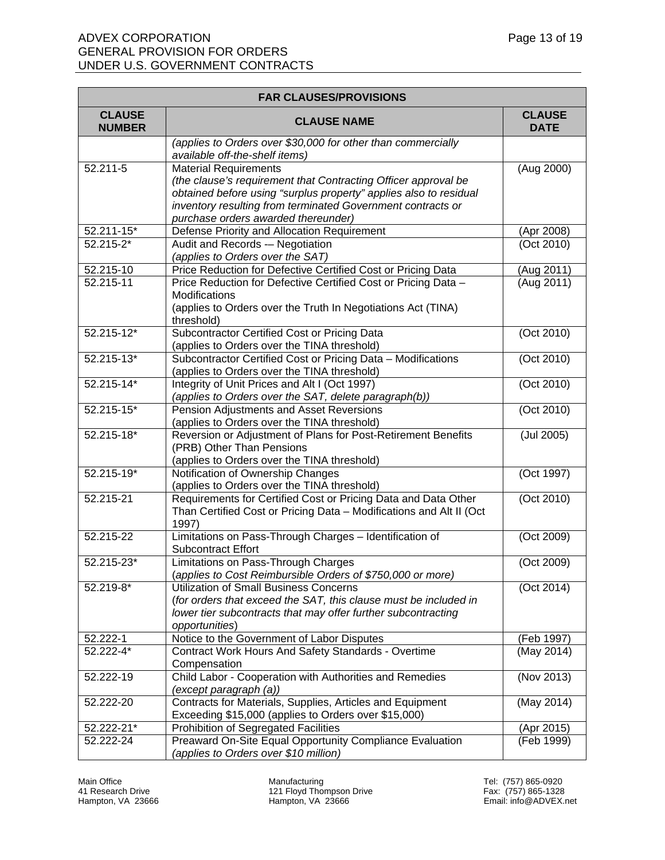| <b>FAR CLAUSES/PROVISIONS</b>  |                                                                                                                                   |                              |  |
|--------------------------------|-----------------------------------------------------------------------------------------------------------------------------------|------------------------------|--|
| <b>CLAUSE</b><br><b>NUMBER</b> | <b>CLAUSE NAME</b>                                                                                                                | <b>CLAUSE</b><br><b>DATE</b> |  |
|                                | (applies to Orders over \$30,000 for other than commercially<br>available off-the-shelf items)                                    |                              |  |
| 52.211-5                       | <b>Material Requirements</b>                                                                                                      | (Aug 2000)                   |  |
|                                | (the clause's requirement that Contracting Officer approval be                                                                    |                              |  |
|                                | obtained before using "surplus property" applies also to residual                                                                 |                              |  |
|                                | inventory resulting from terminated Government contracts or<br>purchase orders awarded thereunder)                                |                              |  |
| 52.211-15*                     | Defense Priority and Allocation Requirement                                                                                       | (Apr 2008)                   |  |
| 52.215-2*                      | Audit and Records -- Negotiation                                                                                                  | (Oct 2010)                   |  |
|                                | (applies to Orders over the SAT)                                                                                                  |                              |  |
| 52.215-10                      | Price Reduction for Defective Certified Cost or Pricing Data                                                                      | (Aug 2011)                   |  |
| 52.215-11                      | Price Reduction for Defective Certified Cost or Pricing Data -                                                                    | (Aug 2011)                   |  |
|                                | Modifications                                                                                                                     |                              |  |
|                                | (applies to Orders over the Truth In Negotiations Act (TINA)                                                                      |                              |  |
|                                | threshold)                                                                                                                        |                              |  |
| $52.215 - 12*$                 | Subcontractor Certified Cost or Pricing Data                                                                                      | (Oct 2010)                   |  |
| 52.215-13*                     | (applies to Orders over the TINA threshold)<br>Subcontractor Certified Cost or Pricing Data - Modifications                       | (Oct 2010)                   |  |
|                                | (applies to Orders over the TINA threshold)                                                                                       |                              |  |
| 52.215-14*                     | Integrity of Unit Prices and Alt I (Oct 1997)                                                                                     | (Oct 2010)                   |  |
|                                | (applies to Orders over the SAT, delete paragraph(b))                                                                             |                              |  |
| 52.215-15*                     | Pension Adjustments and Asset Reversions                                                                                          | (Oct 2010)                   |  |
|                                | (applies to Orders over the TINA threshold)                                                                                       |                              |  |
| 52.215-18*                     | Reversion or Adjustment of Plans for Post-Retirement Benefits                                                                     | (Jul 2005)                   |  |
|                                | (PRB) Other Than Pensions                                                                                                         |                              |  |
|                                | (applies to Orders over the TINA threshold)                                                                                       |                              |  |
| 52.215-19*                     | Notification of Ownership Changes                                                                                                 | (Oct 1997)                   |  |
| 52.215-21                      | (applies to Orders over the TINA threshold)<br>Requirements for Certified Cost or Pricing Data and Data Other                     | (Oct 2010)                   |  |
|                                | Than Certified Cost or Pricing Data - Modifications and Alt II (Oct                                                               |                              |  |
|                                | 1997)                                                                                                                             |                              |  |
| 52.215-22                      | Limitations on Pass-Through Charges - Identification of                                                                           | (Oct 2009)                   |  |
|                                | <b>Subcontract Effort</b>                                                                                                         |                              |  |
| 52.215-23*                     | Limitations on Pass-Through Charges                                                                                               | (Oct 2009)                   |  |
|                                | (applies to Cost Reimbursible Orders of \$750,000 or more)                                                                        |                              |  |
| 52.219-8*                      | <b>Utilization of Small Business Concerns</b>                                                                                     | (Oct 2014)                   |  |
|                                | (for orders that exceed the SAT, this clause must be included in<br>lower tier subcontracts that may offer further subcontracting |                              |  |
|                                | opportunities)                                                                                                                    |                              |  |
| 52.222-1                       | Notice to the Government of Labor Disputes                                                                                        | (Feb 1997)                   |  |
| $52.222 - 4*$                  | Contract Work Hours And Safety Standards - Overtime                                                                               | (May 2014)                   |  |
|                                | Compensation                                                                                                                      |                              |  |
| 52.222-19                      | Child Labor - Cooperation with Authorities and Remedies                                                                           | (Nov 2013)                   |  |
|                                | (except paragraph (a))                                                                                                            |                              |  |
| 52.222-20                      | Contracts for Materials, Supplies, Articles and Equipment                                                                         | (May 2014)                   |  |
|                                | Exceeding \$15,000 (applies to Orders over \$15,000)                                                                              |                              |  |
| 52.222-21*<br>52.222-24        | Prohibition of Segregated Facilities<br>Preaward On-Site Equal Opportunity Compliance Evaluation                                  | (Apr 2015)<br>(Feb 1999)     |  |
|                                | (applies to Orders over \$10 million)                                                                                             |                              |  |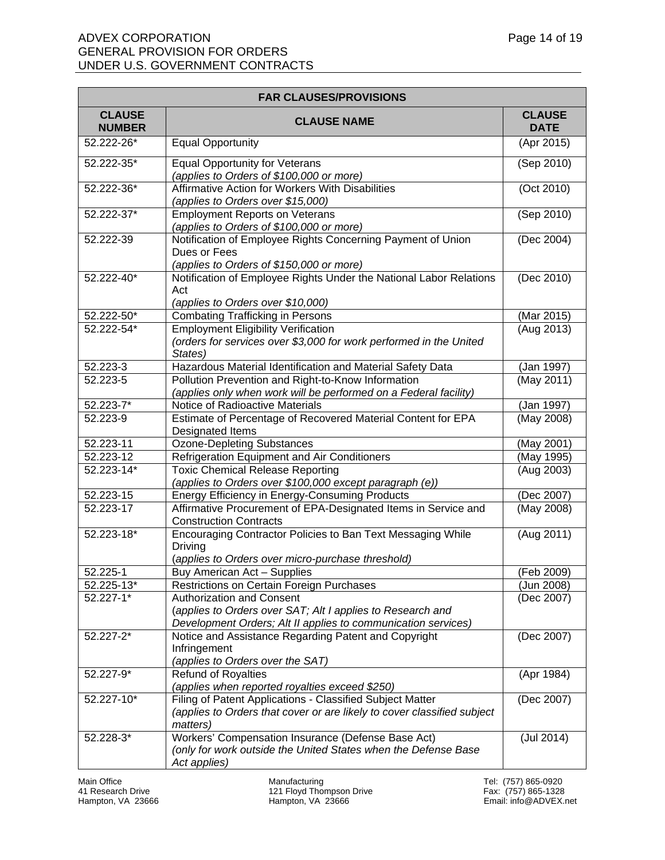| <b>FAR CLAUSES/PROVISIONS</b>  |                                                                                                                                                                 |                              |
|--------------------------------|-----------------------------------------------------------------------------------------------------------------------------------------------------------------|------------------------------|
| <b>CLAUSE</b><br><b>NUMBER</b> | <b>CLAUSE NAME</b>                                                                                                                                              | <b>CLAUSE</b><br><b>DATE</b> |
| 52.222-26*                     | <b>Equal Opportunity</b>                                                                                                                                        | (Apr 2015)                   |
| 52.222-35*                     | <b>Equal Opportunity for Veterans</b><br>(applies to Orders of \$100,000 or more)                                                                               | (Sep 2010)                   |
| 52.222-36*                     | Affirmative Action for Workers With Disabilities<br>(applies to Orders over \$15,000)                                                                           | (Oct 2010)                   |
| 52.222-37*                     | <b>Employment Reports on Veterans</b><br>(applies to Orders of \$100,000 or more)                                                                               | (Sep 2010)                   |
| 52.222-39                      | Notification of Employee Rights Concerning Payment of Union<br>Dues or Fees<br>(applies to Orders of \$150,000 or more)                                         | (Dec 2004)                   |
| 52.222-40*                     | Notification of Employee Rights Under the National Labor Relations<br>Act<br>(applies to Orders over \$10,000)                                                  | (Dec 2010)                   |
| 52.222-50*                     | <b>Combating Trafficking in Persons</b>                                                                                                                         | (Mar 2015)                   |
| 52.222-54*                     | <b>Employment Eligibility Verification</b><br>(orders for services over \$3,000 for work performed in the United<br>States)                                     | (Aug 2013)                   |
| 52.223-3                       | Hazardous Material Identification and Material Safety Data                                                                                                      | (Jan 1997)                   |
| 52.223-5                       | Pollution Prevention and Right-to-Know Information<br>(applies only when work will be performed on a Federal facility)                                          | (May 2011)                   |
| 52.223-7*                      | Notice of Radioactive Materials                                                                                                                                 | (Jan 1997)                   |
| 52.223-9                       | Estimate of Percentage of Recovered Material Content for EPA<br>Designated Items                                                                                | (May 2008)                   |
| 52.223-11                      | <b>Ozone-Depleting Substances</b>                                                                                                                               | (May 2001)                   |
| 52.223-12                      | Refrigeration Equipment and Air Conditioners                                                                                                                    | (May 1995)                   |
| 52.223-14*                     | <b>Toxic Chemical Release Reporting</b><br>(applies to Orders over \$100,000 except paragraph (e))                                                              | (Aug 2003)                   |
| 52.223-15                      | Energy Efficiency in Energy-Consuming Products                                                                                                                  | (Dec 2007)                   |
| 52.223-17                      | Affirmative Procurement of EPA-Designated Items in Service and<br><b>Construction Contracts</b>                                                                 | (May 2008)                   |
| 52.223-18*                     | Encouraging Contractor Policies to Ban Text Messaging While<br><b>Driving</b><br>(applies to Orders over micro-purchase threshold)                              | (Aug 2011)                   |
| 52.225-1                       | Buy American Act - Supplies                                                                                                                                     | (Feb 2009)                   |
| 52.225-13*                     | <b>Restrictions on Certain Foreign Purchases</b>                                                                                                                | (Jun 2008)                   |
| 52.227-1*                      | <b>Authorization and Consent</b><br>(applies to Orders over SAT; Alt I applies to Research and<br>Development Orders; Alt II applies to communication services) | (Dec 2007)                   |
| 52.227-2*                      | Notice and Assistance Regarding Patent and Copyright<br>Infringement<br>(applies to Orders over the SAT)                                                        | (Dec 2007)                   |
| 52.227-9*                      | <b>Refund of Royalties</b><br>(applies when reported royalties exceed \$250)                                                                                    | (Apr 1984)                   |
| 52.227-10*                     | Filing of Patent Applications - Classified Subject Matter<br>(applies to Orders that cover or are likely to cover classified subject<br>matters)                | (Dec 2007)                   |
| 52.228-3*                      | Workers' Compensation Insurance (Defense Base Act)<br>(only for work outside the United States when the Defense Base<br>Act applies)                            | (Jul 2014)                   |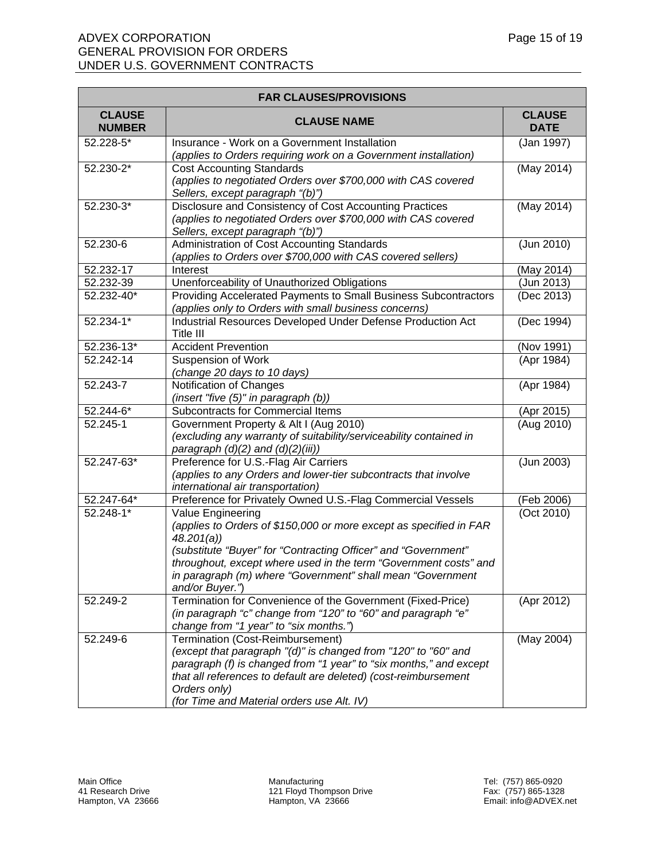| <b>FAR CLAUSES/PROVISIONS</b>  |                                                                                                      |                              |  |
|--------------------------------|------------------------------------------------------------------------------------------------------|------------------------------|--|
| <b>CLAUSE</b><br><b>NUMBER</b> | <b>CLAUSE NAME</b>                                                                                   | <b>CLAUSE</b><br><b>DATE</b> |  |
| 52.228-5*                      | Insurance - Work on a Government Installation                                                        | (Jan 1997)                   |  |
|                                | (applies to Orders requiring work on a Government installation)                                      |                              |  |
| 52.230-2*                      | <b>Cost Accounting Standards</b>                                                                     | (May 2014)                   |  |
|                                | (applies to negotiated Orders over \$700,000 with CAS covered                                        |                              |  |
|                                | Sellers, except paragraph "(b)")                                                                     |                              |  |
| 52.230-3*                      | Disclosure and Consistency of Cost Accounting Practices                                              | (May 2014)                   |  |
|                                | (applies to negotiated Orders over \$700,000 with CAS covered                                        |                              |  |
|                                | Sellers, except paragraph "(b)")                                                                     |                              |  |
| 52.230-6                       | Administration of Cost Accounting Standards                                                          | (Jun 2010)                   |  |
|                                | (applies to Orders over \$700,000 with CAS covered sellers)                                          |                              |  |
| 52.232-17                      | Interest                                                                                             | (May 2014)                   |  |
| 52.232-39                      | Unenforceability of Unauthorized Obligations                                                         | (Jun 2013)                   |  |
| 52.232-40*                     | Providing Accelerated Payments to Small Business Subcontractors                                      | (Dec 2013)                   |  |
|                                | (applies only to Orders with small business concerns)                                                |                              |  |
| $52.234 - 1*$                  | Industrial Resources Developed Under Defense Production Act                                          | (Dec 1994)                   |  |
|                                | Title III                                                                                            |                              |  |
| 52.236-13*                     | <b>Accident Prevention</b>                                                                           | (Nov 1991)                   |  |
| 52.242-14                      | <b>Suspension of Work</b>                                                                            | (Apr 1984)                   |  |
|                                | (change 20 days to 10 days)                                                                          |                              |  |
| 52.243-7                       | Notification of Changes                                                                              | (Apr 1984)                   |  |
|                                | (insert "five (5)" in paragraph (b))                                                                 |                              |  |
| 52.244-6*                      | Subcontracts for Commercial Items                                                                    | (Apr 2015)                   |  |
| 52.245-1                       | Government Property & Alt I (Aug 2010)                                                               | (Aug 2010)                   |  |
|                                | (excluding any warranty of suitability/serviceability contained in                                   |                              |  |
|                                | paragraph (d)(2) and (d)(2)(iii))                                                                    |                              |  |
| 52.247-63*                     | Preference for U.S.-Flag Air Carriers                                                                | (Jun 2003)                   |  |
|                                | (applies to any Orders and lower-tier subcontracts that involve<br>international air transportation) |                              |  |
| 52.247-64*                     | Preference for Privately Owned U.S.-Flag Commercial Vessels                                          | (Feb 2006)                   |  |
| 52.248-1*                      | Value Engineering                                                                                    | (Oct 2010)                   |  |
|                                | (applies to Orders of \$150,000 or more except as specified in FAR                                   |                              |  |
|                                | 48.201(a)                                                                                            |                              |  |
|                                | (substitute "Buyer" for "Contracting Officer" and "Government"                                       |                              |  |
|                                | throughout, except where used in the term "Government costs" and                                     |                              |  |
|                                | in paragraph (m) where "Government" shall mean "Government                                           |                              |  |
|                                | and/or Buyer.")                                                                                      |                              |  |
| 52.249-2                       | Termination for Convenience of the Government (Fixed-Price)                                          | (Apr 2012)                   |  |
|                                | (in paragraph "c" change from "120" to "60" and paragraph "e"                                        |                              |  |
|                                | change from "1 year" to "six months.")                                                               |                              |  |
| $52.249 - 6$                   | Termination (Cost-Reimbursement)                                                                     | (May 2004)                   |  |
|                                | (except that paragraph "(d)" is changed from "120" to "60" and                                       |                              |  |
|                                | paragraph (f) is changed from "1 year" to "six months," and except                                   |                              |  |
|                                | that all references to default are deleted) (cost-reimbursement                                      |                              |  |
|                                | Orders only)                                                                                         |                              |  |
|                                | (for Time and Material orders use Alt. IV)                                                           |                              |  |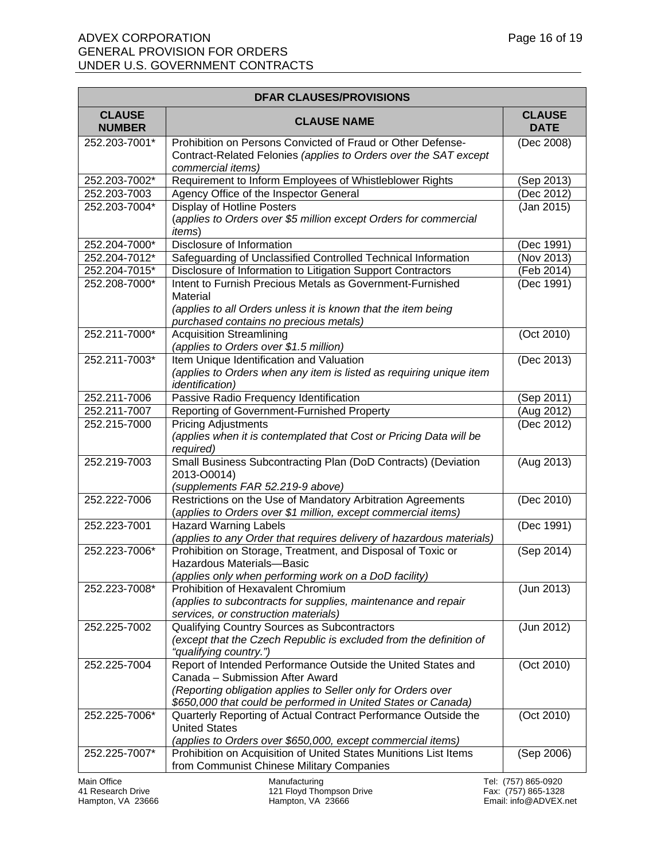| <b>DFAR CLAUSES/PROVISIONS</b> |                                                                                                                                                                                                                                  |                              |
|--------------------------------|----------------------------------------------------------------------------------------------------------------------------------------------------------------------------------------------------------------------------------|------------------------------|
| <b>CLAUSE</b><br><b>NUMBER</b> | <b>CLAUSE NAME</b>                                                                                                                                                                                                               | <b>CLAUSE</b><br><b>DATE</b> |
| 252.203-7001*                  | Prohibition on Persons Convicted of Fraud or Other Defense-<br>Contract-Related Felonies (applies to Orders over the SAT except<br>commercial items)                                                                             | (Dec 2008)                   |
| 252.203-7002*                  | Requirement to Inform Employees of Whistleblower Rights                                                                                                                                                                          | (Sep 2013)                   |
| 252.203-7003                   | Agency Office of the Inspector General                                                                                                                                                                                           | (Dec 2012)                   |
| 252.203-7004*                  | <b>Display of Hotline Posters</b><br>(applies to Orders over \$5 million except Orders for commercial<br><i>items</i> )                                                                                                          | (Jan 2015)                   |
| 252.204-7000*                  | Disclosure of Information                                                                                                                                                                                                        | (Dec 1991)                   |
| 252.204-7012*                  | Safeguarding of Unclassified Controlled Technical Information                                                                                                                                                                    | (Nov 2013)                   |
| 252.204-7015*                  | Disclosure of Information to Litigation Support Contractors                                                                                                                                                                      | (Feb 2014)                   |
| 252.208-7000*                  | Intent to Furnish Precious Metals as Government-Furnished<br>Material<br>(applies to all Orders unless it is known that the item being<br>purchased contains no precious metals)                                                 | (Dec 1991)                   |
| 252.211-7000*                  | <b>Acquisition Streamlining</b><br>(applies to Orders over \$1.5 million)                                                                                                                                                        | (Oct 2010)                   |
| 252.211-7003*                  | Item Unique Identification and Valuation<br>(applies to Orders when any item is listed as requiring unique item<br><i>identification</i> )                                                                                       | (Dec 2013)                   |
| 252.211-7006                   | Passive Radio Frequency Identification                                                                                                                                                                                           | (Sep 2011)                   |
| 252.211-7007                   | Reporting of Government-Furnished Property                                                                                                                                                                                       | $\overline{(Aug 2012)}$      |
| 252.215-7000                   | <b>Pricing Adjustments</b><br>(applies when it is contemplated that Cost or Pricing Data will be<br>required)                                                                                                                    | (Dec 2012)                   |
| 252.219-7003                   | Small Business Subcontracting Plan (DoD Contracts) (Deviation<br>2013-O0014)<br>(supplements FAR 52.219-9 above)                                                                                                                 | (Aug 2013)                   |
| 252.222-7006                   | Restrictions on the Use of Mandatory Arbitration Agreements<br>(applies to Orders over \$1 million, except commercial items)                                                                                                     | (Dec 2010)                   |
| 252.223-7001                   | <b>Hazard Warning Labels</b><br>(applies to any Order that requires delivery of hazardous materials)                                                                                                                             | (Dec 1991)                   |
| 252.223-7006*                  | Prohibition on Storage, Treatment, and Disposal of Toxic or<br>Hazardous Materials-Basic<br>(applies only when performing work on a DoD facility)                                                                                | (Sep 2014)                   |
| 252.223-7008*                  | Prohibition of Hexavalent Chromium<br>(applies to subcontracts for supplies, maintenance and repair<br>services, or construction materials)                                                                                      | (Jun 2013)                   |
| 252.225-7002                   | Qualifying Country Sources as Subcontractors<br>(except that the Czech Republic is excluded from the definition of<br>"qualifying country.")                                                                                     | (Jun 2012)                   |
| 252.225-7004                   | Report of Intended Performance Outside the United States and<br>Canada - Submission After Award<br>(Reporting obligation applies to Seller only for Orders over<br>\$650,000 that could be performed in United States or Canada) | (Oct 2010)                   |
| 252.225-7006*                  | Quarterly Reporting of Actual Contract Performance Outside the<br><b>United States</b><br>(applies to Orders over \$650,000, except commercial items)                                                                            | (Oct 2010)                   |
| 252.225-7007*                  | Prohibition on Acquisition of United States Munitions List Items<br>from Communist Chinese Military Companies                                                                                                                    | (Sep 2006)                   |
| Main Office                    | Manufacturing                                                                                                                                                                                                                    | Tel: (757) 865-0920          |

41 Research Drive 121 Floyd Thompson Drive Fax: (757) 865-1328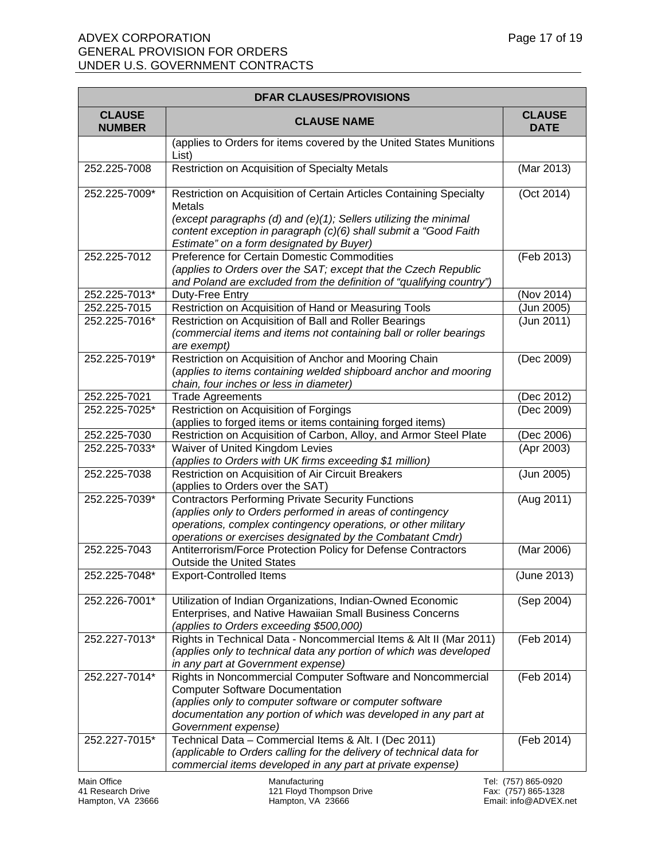#### ADVEX CORPORATION **Page 17 of 19** GENERAL PROVISION FOR ORDERS UNDER U.S. GOVERNMENT CONTRACTS

| <b>DFAR CLAUSES/PROVISIONS</b> |                                                                                                                                                                                                                                                            |                              |
|--------------------------------|------------------------------------------------------------------------------------------------------------------------------------------------------------------------------------------------------------------------------------------------------------|------------------------------|
| <b>CLAUSE</b><br><b>NUMBER</b> | <b>CLAUSE NAME</b>                                                                                                                                                                                                                                         | <b>CLAUSE</b><br><b>DATE</b> |
|                                | (applies to Orders for items covered by the United States Munitions<br>List)                                                                                                                                                                               |                              |
| 252.225-7008                   | Restriction on Acquisition of Specialty Metals                                                                                                                                                                                                             | (Mar 2013)                   |
| 252.225-7009*                  | Restriction on Acquisition of Certain Articles Containing Specialty<br><b>Metals</b><br>(except paragraphs (d) and (e)(1); Sellers utilizing the minimal<br>content exception in paragraph (c)(6) shall submit a "Good Faith                               | $\overline{(Oct 2014)}$      |
| 252.225-7012                   | Estimate" on a form designated by Buyer)<br>Preference for Certain Domestic Commodities<br>(applies to Orders over the SAT; except that the Czech Republic<br>and Poland are excluded from the definition of "qualifying country")                         | (Feb 2013)                   |
| 252.225-7013*                  | Duty-Free Entry                                                                                                                                                                                                                                            | (Nov 2014)                   |
| 252.225-7015                   | Restriction on Acquisition of Hand or Measuring Tools                                                                                                                                                                                                      | (Jun 2005)                   |
| 252.225-7016*                  | Restriction on Acquisition of Ball and Roller Bearings<br>(commercial items and items not containing ball or roller bearings<br>are exempt)                                                                                                                | (Jun 2011)                   |
| 252.225-7019*                  | Restriction on Acquisition of Anchor and Mooring Chain<br>(applies to items containing welded shipboard anchor and mooring<br>chain, four inches or less in diameter)                                                                                      | (Dec 2009)                   |
| 252.225-7021                   | <b>Trade Agreements</b>                                                                                                                                                                                                                                    | (Dec 2012)                   |
| 252.225-7025*                  | Restriction on Acquisition of Forgings<br>(applies to forged items or items containing forged items)                                                                                                                                                       | (Dec 2009)                   |
| 252.225-7030                   | Restriction on Acquisition of Carbon, Alloy, and Armor Steel Plate                                                                                                                                                                                         | (Dec 2006)                   |
| 252.225-7033*                  | Waiver of United Kingdom Levies<br>(applies to Orders with UK firms exceeding \$1 million)                                                                                                                                                                 | (Apr 2003)                   |
| 252.225-7038                   | Restriction on Acquisition of Air Circuit Breakers<br>(applies to Orders over the SAT)                                                                                                                                                                     | (Jun 2005)                   |
| 252.225-7039*                  | <b>Contractors Performing Private Security Functions</b><br>(applies only to Orders performed in areas of contingency<br>operations, complex contingency operations, or other military<br>operations or exercises designated by the Combatant Cmdr)        | (Aug 2011)                   |
| 252.225-7043                   | Antiterrorism/Force Protection Policy for Defense Contractors<br><b>Outside the United States</b>                                                                                                                                                          | (Mar 2006)                   |
| 252.225-7048*                  | <b>Export-Controlled Items</b>                                                                                                                                                                                                                             | (June 2013)                  |
| 252.226-7001*                  | Utilization of Indian Organizations, Indian-Owned Economic<br>Enterprises, and Native Hawaiian Small Business Concerns<br>(applies to Orders exceeding \$500,000)                                                                                          | (Sep 2004)                   |
| 252.227-7013*                  | Rights in Technical Data - Noncommercial Items & Alt II (Mar 2011)<br>(applies only to technical data any portion of which was developed<br>in any part at Government expense)                                                                             | (Feb 2014)                   |
| 252.227-7014*                  | Rights in Noncommercial Computer Software and Noncommercial<br><b>Computer Software Documentation</b><br>(applies only to computer software or computer software<br>documentation any portion of which was developed in any part at<br>Government expense) | (Feb 2014)                   |
| 252.227-7015*                  | Technical Data - Commercial Items & Alt. I (Dec 2011)<br>(applicable to Orders calling for the delivery of technical data for<br>commercial items developed in any part at private expense)                                                                | (Feb 2014)                   |

Main Office **Manufacturing Manufacturing Manufacturing** Tel: (757) 865-0920 41 Research Drive 121 Floyd Thompson Drive Fax: (757) 865-1328

Hampton, VA 23666 Hampton, VA 23666 Email: info@ADVEX.net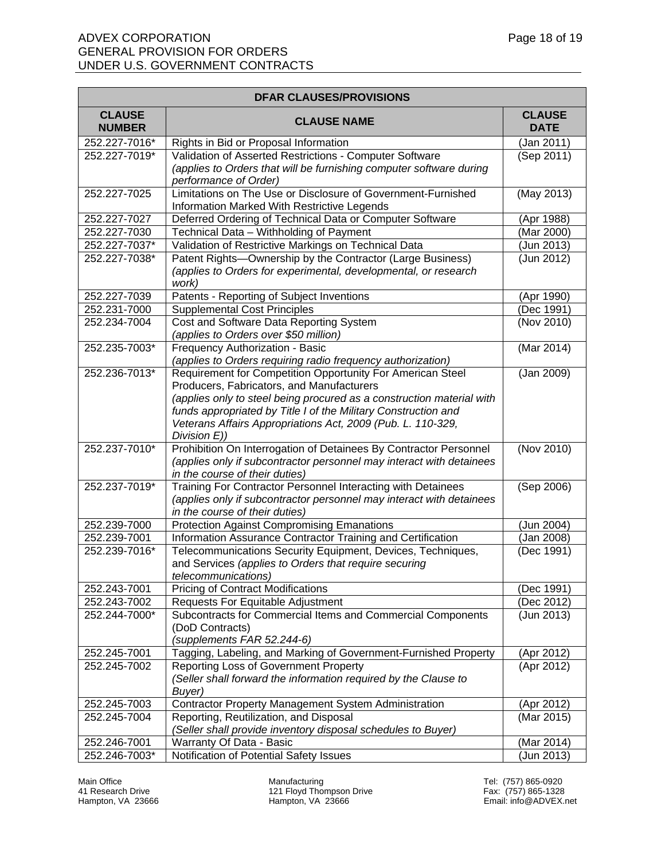| <b>DFAR CLAUSES/PROVISIONS</b> |                                                                                                                                        |                              |
|--------------------------------|----------------------------------------------------------------------------------------------------------------------------------------|------------------------------|
| <b>CLAUSE</b><br><b>NUMBER</b> | <b>CLAUSE NAME</b>                                                                                                                     | <b>CLAUSE</b><br><b>DATE</b> |
| 252.227-7016*                  | Rights in Bid or Proposal Information                                                                                                  | (Jan 2011)                   |
| 252.227-7019*                  | Validation of Asserted Restrictions - Computer Software                                                                                | (Sep 2011)                   |
|                                | (applies to Orders that will be furnishing computer software during                                                                    |                              |
|                                | performance of Order)                                                                                                                  |                              |
| 252.227-7025                   | Limitations on The Use or Disclosure of Government-Furnished                                                                           | (May 2013)                   |
|                                | Information Marked With Restrictive Legends                                                                                            |                              |
| 252.227-7027                   | Deferred Ordering of Technical Data or Computer Software                                                                               | (Apr 1988)                   |
| 252.227-7030                   | Technical Data - Withholding of Payment                                                                                                | (Mar 2000)                   |
| 252.227-7037*                  | Validation of Restrictive Markings on Technical Data                                                                                   | (Jun 2013)                   |
| 252.227-7038*                  | Patent Rights-Ownership by the Contractor (Large Business)<br>(applies to Orders for experimental, developmental, or research<br>work) | (Jun 2012)                   |
| 252.227-7039                   | Patents - Reporting of Subject Inventions                                                                                              | (Apr 1990)                   |
| 252.231-7000                   | <b>Supplemental Cost Principles</b>                                                                                                    | (Dec 1991)                   |
| 252.234-7004                   | Cost and Software Data Reporting System                                                                                                | (Nov 2010)                   |
|                                | (applies to Orders over \$50 million)                                                                                                  |                              |
| 252.235-7003*                  | Frequency Authorization - Basic                                                                                                        | (Mar 2014)                   |
|                                | (applies to Orders requiring radio frequency authorization)                                                                            |                              |
| 252.236-7013*                  | Requirement for Competition Opportunity For American Steel                                                                             | (Jan 2009)                   |
|                                | Producers, Fabricators, and Manufacturers                                                                                              |                              |
|                                | (applies only to steel being procured as a construction material with                                                                  |                              |
|                                | funds appropriated by Title I of the Military Construction and                                                                         |                              |
|                                | Veterans Affairs Appropriations Act, 2009 (Pub. L. 110-329,                                                                            |                              |
| 252.237-7010*                  | Division E))<br>Prohibition On Interrogation of Detainees By Contractor Personnel                                                      | (Nov 2010)                   |
|                                | (applies only if subcontractor personnel may interact with detainees                                                                   |                              |
|                                | in the course of their duties)                                                                                                         |                              |
| 252.237-7019*                  | Training For Contractor Personnel Interacting with Detainees                                                                           | (Sep 2006)                   |
|                                | (applies only if subcontractor personnel may interact with detainees                                                                   |                              |
|                                | in the course of their duties)                                                                                                         |                              |
| 252.239-7000                   | <b>Protection Against Compromising Emanations</b>                                                                                      | (Jun 2004)                   |
| 252.239-7001                   | Information Assurance Contractor Training and Certification                                                                            | (Jan 2008)                   |
| 252.239-7016*                  | Telecommunications Security Equipment, Devices, Techniques,                                                                            | (Dec 1991)                   |
|                                | and Services (applies to Orders that require securing                                                                                  |                              |
|                                | telecommunications)                                                                                                                    |                              |
| 252.243-7001                   | <b>Pricing of Contract Modifications</b>                                                                                               | (Dec 1991)                   |
| 252.243-7002                   | Requests For Equitable Adjustment                                                                                                      | (Dec 2012)                   |
| 252.244-7000*                  | Subcontracts for Commercial Items and Commercial Components                                                                            | (Jun 2013)                   |
|                                | (DoD Contracts)                                                                                                                        |                              |
|                                | (supplements FAR 52.244-6)                                                                                                             |                              |
| 252.245-7001                   | Tagging, Labeling, and Marking of Government-Furnished Property                                                                        | (Apr 2012)                   |
| 252.245-7002                   | Reporting Loss of Government Property                                                                                                  | (Apr 2012)                   |
|                                | (Seller shall forward the information required by the Clause to                                                                        |                              |
|                                | Buyer)                                                                                                                                 |                              |
| 252.245-7003                   | Contractor Property Management System Administration                                                                                   | (Apr 2012)                   |
| 252.245-7004                   | Reporting, Reutilization, and Disposal                                                                                                 | (Mar 2015)                   |
| 252.246-7001                   | (Seller shall provide inventory disposal schedules to Buyer)<br>Warranty Of Data - Basic                                               | (Mar 2014)                   |
| 252.246-7003*                  | Notification of Potential Safety Issues                                                                                                | (Jun 2013)                   |
|                                |                                                                                                                                        |                              |